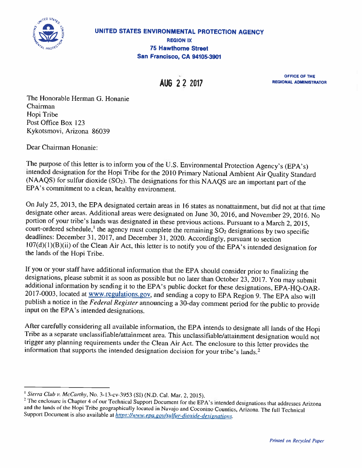

OFFICE OF THE AUG 2 2 2017 REGIONAL ADMINISTRATOR

The Honorable Herman G. Honanie Chairman Hopi Tribe Post Office Box 123 Kykotsmovi, Arizona 86039

Dear Chairman Honanie:

The purpose of this letter is to inform you of the U.S. Environmental Protection Agency's (EPA's) intended designation for the Hopi Tribe for the <sup>2010</sup> Primary National Ambient Air Quality Standard  $(NAAQS)$  for sulfur dioxide  $(SO<sub>2</sub>)$ . The designations for this NAAQS are an important part of the EPA's commitment to <sup>a</sup> clean, healthy environment.

On July 25, 2013, the EPA designated certain areas in <sup>16</sup> states as nonattainment, hut did not at that time designate other areas. Additional areas were designated on June 30, 2016, and November 29, 2016. No portion of your tribe's lands was designated in these previous actions. Pursuant to a March 2, 2015, court-ordered schedule,<sup>1</sup> the agency must complete the remaining  $SO<sub>2</sub>$  designations by two specific deadlines: December 31, 2017. and December 31, 2020. Accordingly, pursuant to section  $107(d)(1)(B)(ii)$  of the Clean Air Act, this letter is to notify you of the EPA's intended designation for the lands of the Hopi Tribe.

If you or your staff have additional information that the EPA should consider prior to finalizing the designations, <sup>p</sup>lease submit it as soon as possible but no later than October 23, 2017. You may submit additional information by sending it to the EPA's public docket for these designations, EPA-HQ-OAR-2017-0003, located at www.regulations.gov, and sending a copy to EPA Region 9. The EPA also will publish <sup>a</sup> notice in the Federal Register announcing <sup>a</sup> 30-day comment period for the public to provide input on the EPA's intended designations.

After carefully considering all available information, the EPA intends to designate all lands of the Hopi Tribe as <sup>a</sup> separate unclassifiable/attainment area. This unclassifiable/attainment designation would not trigger any <sup>p</sup>lanning requirements under the Clean Air Act. The enclosure to this letter provides the information that supports the intended designation decision for your tribe's lands.<sup>2</sup>

<sup>&</sup>lt;sup>1</sup> Sierra Club v. McCarthy, No. 3-13-cv-3953 (SI) (N.D. Cal. Mar. 2, 2015). <sup>2</sup> The enclosure is Chapter 4 of our Technical Support Document for the EPA's intended designations that addresses Arizona and the lands of the Hopi Tribe geographically located in Navajo and Coconino Counties, Arizona. The full Technical Support Document is also available at https://www.epa.gov/sulfur-dioxide-designations.